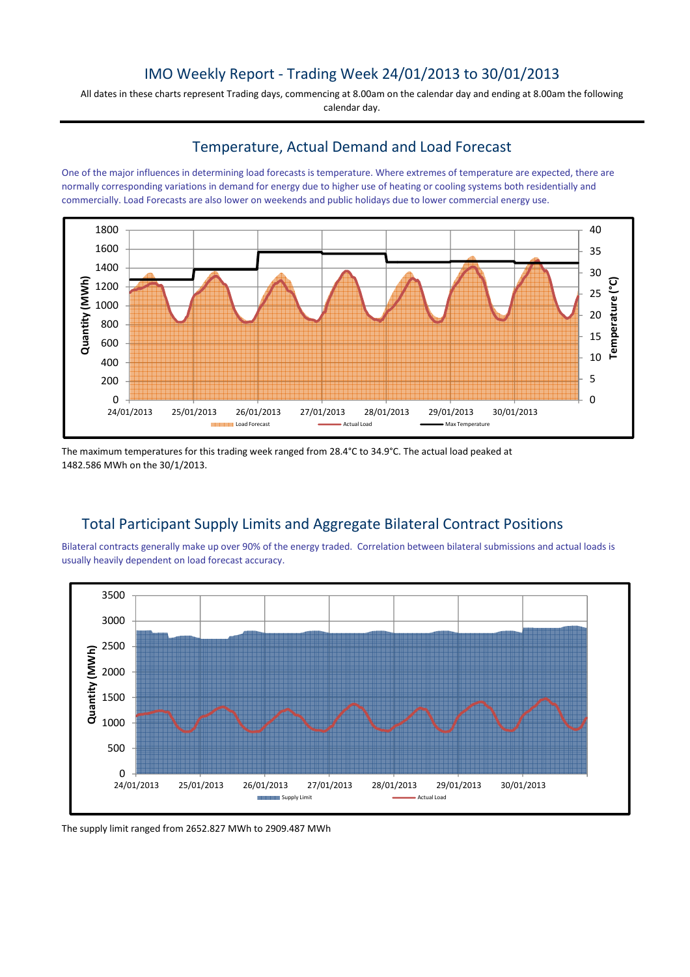# IMO Weekly Report - Trading Week 24/01/2013 to 30/01/2013

All dates in these charts represent Trading days, commencing at 8.00am on the calendar day and ending at 8.00am the following calendar day.

### Temperature, Actual Demand and Load Forecast

One of the major influences in determining load forecasts is temperature. Where extremes of temperature are expected, there are normally corresponding variations in demand for energy due to higher use of heating or cooling systems both residentially and commercially. Load Forecasts are also lower on weekends and public holidays due to lower commercial energy use.



The maximum temperatures for this trading week ranged from 28.4°C to 34.9°C. The actual load peaked at 1482.586 MWh on the 30/1/2013.

## Total Participant Supply Limits and Aggregate Bilateral Contract Positions

Bilateral contracts generally make up over 90% of the energy traded. Correlation between bilateral submissions and actual loads is usually heavily dependent on load forecast accuracy.



The supply limit ranged from 2652.827 MWh to 2909.487 MWh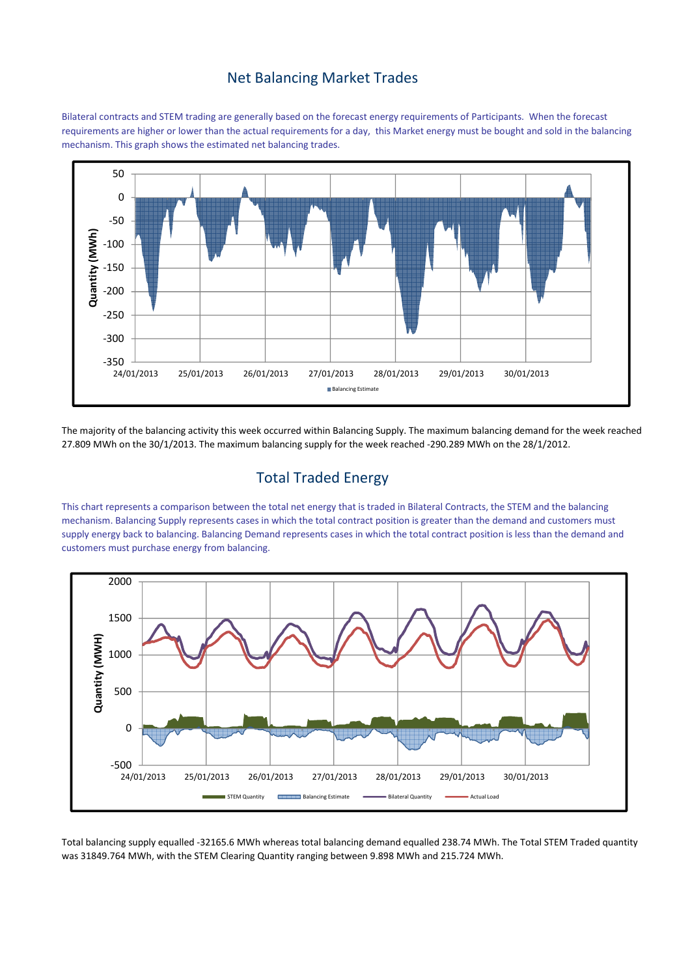### Net Balancing Market Trades

Bilateral contracts and STEM trading are generally based on the forecast energy requirements of Participants. When the forecast requirements are higher or lower than the actual requirements for a day, this Market energy must be bought and sold in the balancing mechanism. This graph shows the estimated net balancing trades.



The majority of the balancing activity this week occurred within Balancing Supply. The maximum balancing demand for the week reached 27.809 MWh on the 30/1/2013. The maximum balancing supply for the week reached -290.289 MWh on the 28/1/2012.

## Total Traded Energy

This chart represents a comparison between the total net energy that is traded in Bilateral Contracts, the STEM and the balancing mechanism. Balancing Supply represents cases in which the total contract position is greater than the demand and customers must supply energy back to balancing. Balancing Demand represents cases in which the total contract position is less than the demand and customers must purchase energy from balancing.



Total balancing supply equalled -32165.6 MWh whereas total balancing demand equalled 238.74 MWh. The Total STEM Traded quantity was 31849.764 MWh, with the STEM Clearing Quantity ranging between 9.898 MWh and 215.724 MWh.